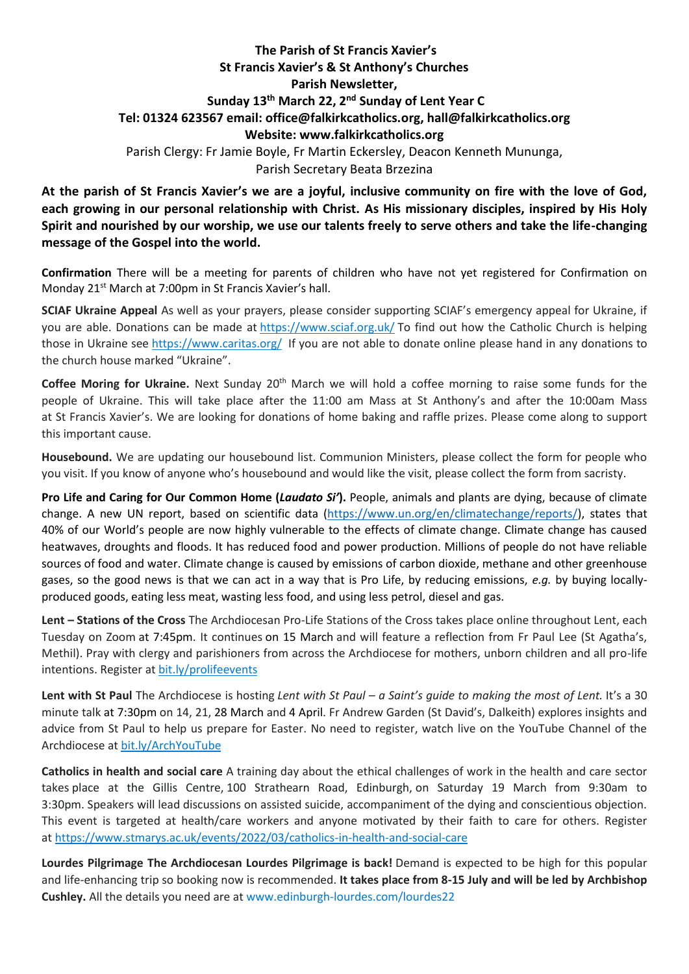## **The Parish of St Francis Xavier's St Francis Xavier's & St Anthony's Churches Parish Newsletter, Sunday 13th March 22, 2 nd Sunday of Lent Year C Tel: 01324 623567 email: office@falkirkcatholics.org, [hall@falkirkcatholics.org](mailto:hall@falkirkcatholics.org) Website: [www.falkirkcatholics.org](http://www.falkirkcatholics.org/)**  Parish Clergy: Fr Jamie Boyle, Fr Martin Eckersley, Deacon Kenneth Mununga, Parish Secretary Beata Brzezina

**At the parish of St Francis Xavier's we are a joyful, inclusive community on fire with the love of God, each growing in our personal relationship with Christ. As His missionary disciples, inspired by His Holy Spirit and nourished by our worship, we use our talents freely to serve others and take the life-changing message of the Gospel into the world.** 

**Confirmation** There will be a meeting for parents of children who have not yet registered for Confirmation on Monday 21<sup>st</sup> March at 7:00pm in St Francis Xavier's hall.

**SCIAF Ukraine Appeal** As well as your prayers, please consider supporting SCIAF's emergency appeal for Ukraine, if you are able. Donations can be made at <https://www.sciaf.org.uk/> To find out how the Catholic Church is helping those in Ukraine see <https://www.caritas.org/> If you are not able to donate online please hand in any donations to the church house marked "Ukraine".

**Coffee Moring for Ukraine.** Next Sunday 20<sup>th</sup> March we will hold a coffee morning to raise some funds for the people of Ukraine. This will take place after the 11:00 am Mass at St Anthony's and after the 10:00am Mass at St Francis Xavier's. We are looking for donations of home baking and raffle prizes. Please come along to support this important cause.

**Housebound.** We are updating our housebound list. Communion Ministers, please collect the form for people who you visit. If you know of anyone who's housebound and would like the visit, please collect the form from sacristy.

**Pro Life and Caring for Our Common Home (***Laudato Si'***).** People, animals and plants are dying, because of climate change. A new UN report, based on scientific data [\(https://www.un.org/en/climatechange/reports/\)](https://www.un.org/en/climatechange/reports/), states that 40% of our World's people are now highly vulnerable to the effects of climate change. Climate change has caused heatwaves, droughts and floods. It has reduced food and power production. Millions of people do not have reliable sources of food and water. Climate change is caused by emissions of carbon dioxide, methane and other greenhouse gases, so the good news is that we can act in a way that is Pro Life, by reducing emissions, *e.g.* by buying locallyproduced goods, eating less meat, wasting less food, and using less petrol, diesel and gas.

**Lent – Stations of the Cross** The Archdiocesan Pro-Life Stations of the Cross takes place online throughout Lent, each Tuesday on Zoom at 7:45pm. It continues on 15 March and will feature a reflection from Fr Paul Lee (St Agatha's, Methil). Pray with clergy and parishioners from across the Archdiocese for mothers, unborn children and all pro-life intentions. Register at [bit.ly/prolifeevents](https://www.eventbrite.co.uk/cc/pro-life-events-150559)

**Lent with St Paul** The Archdiocese is hosting *Lent with St Paul – a Saint's guide to making the most of Lent.* It's a 30 minute talk at 7:30pm on 14, 21, 28 March and 4 April. Fr Andrew Garden (St David's, Dalkeith) explores insights and advice from St Paul to help us prepare for Easter. No need to register, watch live on the YouTube Channel of the Archdiocese at [bit.ly/ArchYouTube](https://www.youtube.com/channel/UCpeWTFr87oQNpdWGgv_G9bw/videos)

**Catholics in health and social care** A training day about the ethical challenges of work in the health and care sector takes place at the Gillis Centre, 100 Strathearn Road, Edinburgh, on Saturday 19 March from 9:30am to 3:30pm. Speakers will lead discussions on assisted suicide, accompaniment of the dying and conscientious objection. This event is targeted at health/care workers and anyone motivated by their faith to care for others. Register at <https://www.stmarys.ac.uk/events/2022/03/catholics-in-health-and-social-care>

**Lourdes Pilgrimage The Archdiocesan Lourdes Pilgrimage is back!** Demand is expected to be high for this popular and life-enhancing trip so booking now is recommended. **It takes place from 8-15 July and will be led by Archbishop Cushley.** All the details you need are at [www.edinburgh-lourdes.com/lourdes22](http://www.edinburgh-lourdes.com/lourdes22)